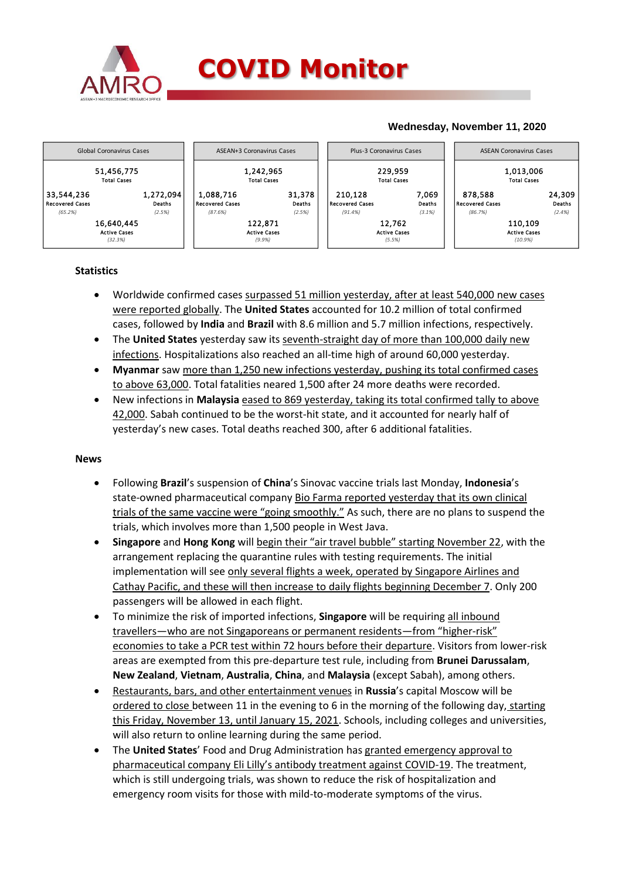

## **COVID Monitor**

## **Wednesday, November 11, 2020**



### **Statistics**

- Worldwide confirmed cases surpassed 51 million yesterday, after at least 540,000 new cases were reported globally. The **United States** accounted for 10.2 million of total confirmed cases, followed by **India** and **Brazil** with 8.6 million and 5.7 million infections, respectively.
- The **United States** yesterday saw its seventh-straight day of more than 100,000 daily new infections. Hospitalizations also reached an all-time high of around 60,000 yesterday.
- **Myanmar** saw more than 1,250 new infections yesterday, pushing its total confirmed cases to above 63,000. Total fatalities neared 1,500 after 24 more deaths were recorded.
- New infections in **Malaysia** eased to 869 yesterday, taking its total confirmed tally to above 42,000. Sabah continued to be the worst-hit state, and it accounted for nearly half of yesterday's new cases. Total deaths reached 300, after 6 additional fatalities.

#### **News**

- Following **Brazil**'s suspension of **China**'s Sinovac vaccine trials last Monday, **Indonesia**'s state-owned pharmaceutical company Bio Farma reported yesterday that its own clinical trials of the same vaccine were "going smoothly." As such, there are no plans to suspend the trials, which involves more than 1,500 people in West Java.
- **Singapore** and **Hong Kong** will begin their "air travel bubble" starting November 22, with the arrangement replacing the quarantine rules with testing requirements. The initial implementation will see only several flights a week, operated by Singapore Airlines and Cathay Pacific, and these will then increase to daily flights beginning December 7. Only 200 passengers will be allowed in each flight.
- To minimize the risk of imported infections, **Singapore** will be requiring all inbound travellers—who are not Singaporeans or permanent residents—from "higher-risk" economies to take a PCR test within 72 hours before their departure. Visitors from lower-risk areas are exempted from this pre-departure test rule, including from **Brunei Darussalam**, **New Zealand**, **Vietnam**, **Australia**, **China**, and **Malaysia** (except Sabah), among others.
- Restaurants, bars, and other entertainment venues in **Russia**'s capital Moscow will be ordered to close between 11 in the evening to 6 in the morning of the following day, starting this Friday, November 13, until January 15, 2021. Schools, including colleges and universities, will also return to online learning during the same period.
- The **United States**' Food and Drug Administration has granted emergency approval to pharmaceutical company Eli Lilly's antibody treatment against COVID-19. The treatment, which is still undergoing trials, was shown to reduce the risk of hospitalization and emergency room visits for those with mild-to-moderate symptoms of the virus.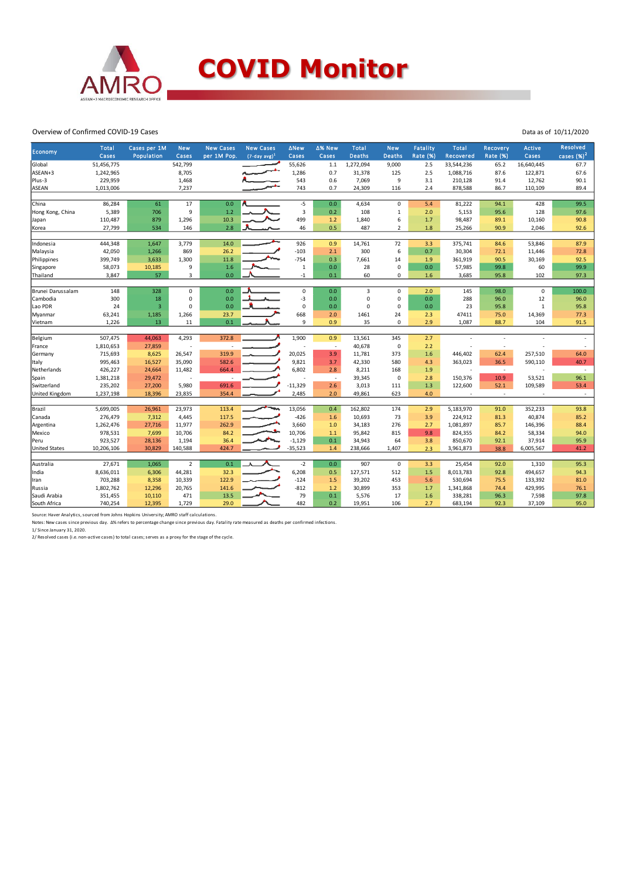

#### Overview of Confirmed COVID-19 Cases

| Economy<br><b>Deaths</b><br><b>Cases</b><br>Population<br>Cases<br>per 1M Pop.<br>$(7-day avg)1$<br>Cases<br>Cases<br><b>Deaths</b><br>Rate (%)<br>Recovered<br><b>Rate (%)</b><br>51,456,775<br>542,799<br>1,272,094<br>Global<br>55,626<br>$1.1\,$<br>9,000<br>2.5<br>33,544,236<br>65.2<br>ASEAN+3<br>1,242,965<br>8,705<br>1,286<br>0.7<br>31,378<br>125<br>2.5<br>1,088,716<br>87.6<br>Plus-3<br>229,959<br>543<br>0.6<br>9<br>210,128<br>1,468<br>7,069<br>3.1<br>91.4<br><b>ASEAN</b><br>7,237<br>743<br>0.7<br>878,588<br>1,013,006<br>24,309<br>116<br>2.4<br>86.7<br>$-5$<br>86,284<br>17<br>0.0<br>0.0<br>61<br>4,634<br>$\mathbf 0$<br>5.4<br>81,222<br>94.1<br>China<br>1.2<br>3<br>5,389<br>706<br>9<br>0.2<br>108<br>5,153<br>95.6<br>Hong Kong, China<br>$\mathbf{1}$<br>2.0<br>10.3<br>499<br>6<br>110,487<br>879<br>1,296<br>98,487<br>89.1<br>1.2<br>1,840<br>1.7<br>Japan<br>2.8<br>46<br>0.5<br>$\overline{2}$<br>27,799<br>534<br>146<br>487<br>1.8<br>25,266<br>90.9<br>Korea<br>14.0<br>444,348<br>1,647<br>3,779<br>926<br>14,761<br>72<br>375,741<br>Indonesia<br>0.9<br>3.3<br>84.6<br>869<br>26.2<br>$-103$<br>2.1<br>300<br>6<br>0.7<br>42,050<br>1,266<br>30,304<br>72.1<br>Malaysia<br>399,749<br>11.8<br>$-754$<br>0.3<br>Philippines<br>3,633<br>1,300<br>7,661<br>14<br>1.9<br>361,919<br>90.5<br>1.6<br>0.0<br>$\mathbf 0$<br>58,073<br>10,185<br>9<br>$\,1\,$<br>28<br>0.0<br>57,985<br>99.8<br>Singapore<br>57<br>3,847<br>3<br>0.0<br>0.1<br>60<br>$\mathbf 0$<br>3,685<br>Thailand<br>$-1$<br>1.6<br>95.8 | cases $(\%)^2$<br>Cases<br>67.7<br>16,640,445<br>67.6<br>122,871<br>12,762<br>90.1<br>89.4<br>110,109<br>428<br>99.5<br>128<br>97.6<br>10,160<br>90.8<br>92.6<br>2,046<br>53,846<br>87.9<br>72.8<br>11,446<br>30,169<br>92.5<br>99.9<br>60<br>97.3<br>102 |
|--------------------------------------------------------------------------------------------------------------------------------------------------------------------------------------------------------------------------------------------------------------------------------------------------------------------------------------------------------------------------------------------------------------------------------------------------------------------------------------------------------------------------------------------------------------------------------------------------------------------------------------------------------------------------------------------------------------------------------------------------------------------------------------------------------------------------------------------------------------------------------------------------------------------------------------------------------------------------------------------------------------------------------------------------------------------------------------------------------------------------------------------------------------------------------------------------------------------------------------------------------------------------------------------------------------------------------------------------------------------------------------------------------------------------------------------------------------------------------------------------------------------------------------------------|-----------------------------------------------------------------------------------------------------------------------------------------------------------------------------------------------------------------------------------------------------------|
|                                                                                                                                                                                                                                                                                                                                                                                                                                                                                                                                                                                                                                                                                                                                                                                                                                                                                                                                                                                                                                                                                                                                                                                                                                                                                                                                                                                                                                                                                                                                                  |                                                                                                                                                                                                                                                           |
|                                                                                                                                                                                                                                                                                                                                                                                                                                                                                                                                                                                                                                                                                                                                                                                                                                                                                                                                                                                                                                                                                                                                                                                                                                                                                                                                                                                                                                                                                                                                                  |                                                                                                                                                                                                                                                           |
|                                                                                                                                                                                                                                                                                                                                                                                                                                                                                                                                                                                                                                                                                                                                                                                                                                                                                                                                                                                                                                                                                                                                                                                                                                                                                                                                                                                                                                                                                                                                                  |                                                                                                                                                                                                                                                           |
|                                                                                                                                                                                                                                                                                                                                                                                                                                                                                                                                                                                                                                                                                                                                                                                                                                                                                                                                                                                                                                                                                                                                                                                                                                                                                                                                                                                                                                                                                                                                                  |                                                                                                                                                                                                                                                           |
|                                                                                                                                                                                                                                                                                                                                                                                                                                                                                                                                                                                                                                                                                                                                                                                                                                                                                                                                                                                                                                                                                                                                                                                                                                                                                                                                                                                                                                                                                                                                                  |                                                                                                                                                                                                                                                           |
|                                                                                                                                                                                                                                                                                                                                                                                                                                                                                                                                                                                                                                                                                                                                                                                                                                                                                                                                                                                                                                                                                                                                                                                                                                                                                                                                                                                                                                                                                                                                                  |                                                                                                                                                                                                                                                           |
|                                                                                                                                                                                                                                                                                                                                                                                                                                                                                                                                                                                                                                                                                                                                                                                                                                                                                                                                                                                                                                                                                                                                                                                                                                                                                                                                                                                                                                                                                                                                                  |                                                                                                                                                                                                                                                           |
|                                                                                                                                                                                                                                                                                                                                                                                                                                                                                                                                                                                                                                                                                                                                                                                                                                                                                                                                                                                                                                                                                                                                                                                                                                                                                                                                                                                                                                                                                                                                                  |                                                                                                                                                                                                                                                           |
|                                                                                                                                                                                                                                                                                                                                                                                                                                                                                                                                                                                                                                                                                                                                                                                                                                                                                                                                                                                                                                                                                                                                                                                                                                                                                                                                                                                                                                                                                                                                                  |                                                                                                                                                                                                                                                           |
|                                                                                                                                                                                                                                                                                                                                                                                                                                                                                                                                                                                                                                                                                                                                                                                                                                                                                                                                                                                                                                                                                                                                                                                                                                                                                                                                                                                                                                                                                                                                                  |                                                                                                                                                                                                                                                           |
|                                                                                                                                                                                                                                                                                                                                                                                                                                                                                                                                                                                                                                                                                                                                                                                                                                                                                                                                                                                                                                                                                                                                                                                                                                                                                                                                                                                                                                                                                                                                                  |                                                                                                                                                                                                                                                           |
|                                                                                                                                                                                                                                                                                                                                                                                                                                                                                                                                                                                                                                                                                                                                                                                                                                                                                                                                                                                                                                                                                                                                                                                                                                                                                                                                                                                                                                                                                                                                                  |                                                                                                                                                                                                                                                           |
|                                                                                                                                                                                                                                                                                                                                                                                                                                                                                                                                                                                                                                                                                                                                                                                                                                                                                                                                                                                                                                                                                                                                                                                                                                                                                                                                                                                                                                                                                                                                                  |                                                                                                                                                                                                                                                           |
|                                                                                                                                                                                                                                                                                                                                                                                                                                                                                                                                                                                                                                                                                                                                                                                                                                                                                                                                                                                                                                                                                                                                                                                                                                                                                                                                                                                                                                                                                                                                                  |                                                                                                                                                                                                                                                           |
|                                                                                                                                                                                                                                                                                                                                                                                                                                                                                                                                                                                                                                                                                                                                                                                                                                                                                                                                                                                                                                                                                                                                                                                                                                                                                                                                                                                                                                                                                                                                                  |                                                                                                                                                                                                                                                           |
|                                                                                                                                                                                                                                                                                                                                                                                                                                                                                                                                                                                                                                                                                                                                                                                                                                                                                                                                                                                                                                                                                                                                                                                                                                                                                                                                                                                                                                                                                                                                                  |                                                                                                                                                                                                                                                           |
|                                                                                                                                                                                                                                                                                                                                                                                                                                                                                                                                                                                                                                                                                                                                                                                                                                                                                                                                                                                                                                                                                                                                                                                                                                                                                                                                                                                                                                                                                                                                                  |                                                                                                                                                                                                                                                           |
| 0.0<br>$\mathsf 0$<br>3<br>Brunei Darussalam<br>148<br>328<br>$\mathbf 0$<br>0.0<br>$\mathbf 0$<br>2.0<br>145<br>98.0                                                                                                                                                                                                                                                                                                                                                                                                                                                                                                                                                                                                                                                                                                                                                                                                                                                                                                                                                                                                                                                                                                                                                                                                                                                                                                                                                                                                                            | $\pmb{0}$<br>100.0                                                                                                                                                                                                                                        |
| 300<br>$-3$<br>$\mathbf 0$<br>Cambodia<br>18<br>$\mathbf 0$<br>0.0<br>0.0<br>$\mathbf 0$<br>0.0<br>288<br>96.0                                                                                                                                                                                                                                                                                                                                                                                                                                                                                                                                                                                                                                                                                                                                                                                                                                                                                                                                                                                                                                                                                                                                                                                                                                                                                                                                                                                                                                   | 12<br>96.0                                                                                                                                                                                                                                                |
| 0.0<br>0<br>$\mathbf 0$<br>Lao PDR<br>24<br>$\overline{3}$<br>$\mathbf 0$<br>0.0<br>$\mathbf 0$<br>0.0<br>23<br>95.8                                                                                                                                                                                                                                                                                                                                                                                                                                                                                                                                                                                                                                                                                                                                                                                                                                                                                                                                                                                                                                                                                                                                                                                                                                                                                                                                                                                                                             | $\,1$<br>95.8                                                                                                                                                                                                                                             |
| 668<br>47411<br>63,241<br>1,185<br>1,266<br>23.7<br>2.0<br>1461<br>24<br>2.3<br>75.0<br>Myanmar                                                                                                                                                                                                                                                                                                                                                                                                                                                                                                                                                                                                                                                                                                                                                                                                                                                                                                                                                                                                                                                                                                                                                                                                                                                                                                                                                                                                                                                  | 77.3<br>14,369                                                                                                                                                                                                                                            |
| 0.1<br>9<br>1,226<br>13<br>11<br>0.9<br>35<br>0<br>2.9<br>1,087<br>88.7<br>Vietnam                                                                                                                                                                                                                                                                                                                                                                                                                                                                                                                                                                                                                                                                                                                                                                                                                                                                                                                                                                                                                                                                                                                                                                                                                                                                                                                                                                                                                                                               | 104<br>91.5                                                                                                                                                                                                                                               |
|                                                                                                                                                                                                                                                                                                                                                                                                                                                                                                                                                                                                                                                                                                                                                                                                                                                                                                                                                                                                                                                                                                                                                                                                                                                                                                                                                                                                                                                                                                                                                  |                                                                                                                                                                                                                                                           |
| 507,475<br>1,900<br>Belgium<br>44,063<br>4,293<br>372.8<br>0.9<br>13,561<br>345<br>2.7<br>$\overline{\phantom{a}}$                                                                                                                                                                                                                                                                                                                                                                                                                                                                                                                                                                                                                                                                                                                                                                                                                                                                                                                                                                                                                                                                                                                                                                                                                                                                                                                                                                                                                               |                                                                                                                                                                                                                                                           |
| $\mathbf 0$<br>1,810,653<br>27,859<br>40,678<br>2.2<br>France<br>Ĭ.<br>$\overline{\phantom{a}}$<br>$\overline{\phantom{a}}$                                                                                                                                                                                                                                                                                                                                                                                                                                                                                                                                                                                                                                                                                                                                                                                                                                                                                                                                                                                                                                                                                                                                                                                                                                                                                                                                                                                                                      |                                                                                                                                                                                                                                                           |
| 20,025<br>715,693<br>3.9<br>62.4<br>8,625<br>26,547<br>319.9<br>11,781<br>373<br>1.6<br>446,402<br>Germany                                                                                                                                                                                                                                                                                                                                                                                                                                                                                                                                                                                                                                                                                                                                                                                                                                                                                                                                                                                                                                                                                                                                                                                                                                                                                                                                                                                                                                       | 257,510<br>64.0                                                                                                                                                                                                                                           |
| 995,463<br>582.6<br>9,821<br>3.7<br>363,023<br>16,527<br>35,090<br>42,330<br>580<br>4.3<br>36.5<br>Italy                                                                                                                                                                                                                                                                                                                                                                                                                                                                                                                                                                                                                                                                                                                                                                                                                                                                                                                                                                                                                                                                                                                                                                                                                                                                                                                                                                                                                                         | 590,110<br>40.7                                                                                                                                                                                                                                           |
| 6,802<br>426,227<br>24,664<br>664.4<br>2.8<br>168<br>Netherlands<br>11,482<br>8,211<br>1.9<br>$\overline{\phantom{a}}$                                                                                                                                                                                                                                                                                                                                                                                                                                                                                                                                                                                                                                                                                                                                                                                                                                                                                                                                                                                                                                                                                                                                                                                                                                                                                                                                                                                                                           | $\sim$                                                                                                                                                                                                                                                    |
| 1,381,218<br>0<br>150,376<br>10.9<br>29,472<br>39,345<br>2.8<br>Spain<br>$\overline{\phantom{a}}$                                                                                                                                                                                                                                                                                                                                                                                                                                                                                                                                                                                                                                                                                                                                                                                                                                                                                                                                                                                                                                                                                                                                                                                                                                                                                                                                                                                                                                                | 96.1<br>53,521                                                                                                                                                                                                                                            |
| $-11,329$<br>2.6<br>Switzerland<br>235,202<br>27,200<br>5,980<br>691.6<br>3,013<br>111<br>1.3<br>122,600<br>52.1                                                                                                                                                                                                                                                                                                                                                                                                                                                                                                                                                                                                                                                                                                                                                                                                                                                                                                                                                                                                                                                                                                                                                                                                                                                                                                                                                                                                                                 | 53.4<br>109,589                                                                                                                                                                                                                                           |
| 2,485<br>623<br>United Kingdom<br>1,237,198<br>18,396<br>23,835<br>354.4<br>2.0<br>49,861<br>4.0<br>$\overline{\phantom{a}}$                                                                                                                                                                                                                                                                                                                                                                                                                                                                                                                                                                                                                                                                                                                                                                                                                                                                                                                                                                                                                                                                                                                                                                                                                                                                                                                                                                                                                     | $\sim$                                                                                                                                                                                                                                                    |
|                                                                                                                                                                                                                                                                                                                                                                                                                                                                                                                                                                                                                                                                                                                                                                                                                                                                                                                                                                                                                                                                                                                                                                                                                                                                                                                                                                                                                                                                                                                                                  |                                                                                                                                                                                                                                                           |
| 113.4<br>13,056<br>0.4<br>5,699,005<br>26,961<br>23,973<br>174<br>2.9<br>5,183,970<br>91.0<br>162,802<br>Brazil                                                                                                                                                                                                                                                                                                                                                                                                                                                                                                                                                                                                                                                                                                                                                                                                                                                                                                                                                                                                                                                                                                                                                                                                                                                                                                                                                                                                                                  | 93.8<br>352,233                                                                                                                                                                                                                                           |
| 276,479<br>$-426$<br>Canada<br>7,312<br>4,445<br>10,693<br>73<br>3.9<br>224,912<br>81.3<br>117.5<br>1.6                                                                                                                                                                                                                                                                                                                                                                                                                                                                                                                                                                                                                                                                                                                                                                                                                                                                                                                                                                                                                                                                                                                                                                                                                                                                                                                                                                                                                                          | 40,874<br>85.2                                                                                                                                                                                                                                            |
| 1,262,476<br>27,716<br>11,977<br>262.9<br>3,660<br>$1.0$<br>34,183<br>276<br>1,081,897<br>85.7<br>Argentina<br>2.7                                                                                                                                                                                                                                                                                                                                                                                                                                                                                                                                                                                                                                                                                                                                                                                                                                                                                                                                                                                                                                                                                                                                                                                                                                                                                                                                                                                                                               | 88.4<br>146,396                                                                                                                                                                                                                                           |
| 978,531<br>10,706<br>824,355<br>7,699<br>10,706<br>84.2<br>1.1<br>95,842<br>815<br>9.8<br>84.2<br>Mexico                                                                                                                                                                                                                                                                                                                                                                                                                                                                                                                                                                                                                                                                                                                                                                                                                                                                                                                                                                                                                                                                                                                                                                                                                                                                                                                                                                                                                                         | 58,334<br>94.0                                                                                                                                                                                                                                            |
| 923,527<br>28,136<br>1,194<br>36.4<br>$-1,129$<br>0.1<br>34,943<br>64<br>850,670<br>92.1<br>Peru<br>3.8                                                                                                                                                                                                                                                                                                                                                                                                                                                                                                                                                                                                                                                                                                                                                                                                                                                                                                                                                                                                                                                                                                                                                                                                                                                                                                                                                                                                                                          | 95.9<br>37,914                                                                                                                                                                                                                                            |
| <b>United States</b><br>30,829<br>424.7<br>$-35,523$<br>10,206,106<br>140,588<br>1.4<br>238,666<br>1,407<br>3,961,873<br>38.8<br>2.3                                                                                                                                                                                                                                                                                                                                                                                                                                                                                                                                                                                                                                                                                                                                                                                                                                                                                                                                                                                                                                                                                                                                                                                                                                                                                                                                                                                                             | 6,005,567<br>41.2                                                                                                                                                                                                                                         |
|                                                                                                                                                                                                                                                                                                                                                                                                                                                                                                                                                                                                                                                                                                                                                                                                                                                                                                                                                                                                                                                                                                                                                                                                                                                                                                                                                                                                                                                                                                                                                  |                                                                                                                                                                                                                                                           |
| 27,671<br>$\overline{2}$<br>0.1<br>$-2$<br>1,065<br>0.0<br>907<br>0<br>3.3<br>25,454<br>92.0<br>Australia                                                                                                                                                                                                                                                                                                                                                                                                                                                                                                                                                                                                                                                                                                                                                                                                                                                                                                                                                                                                                                                                                                                                                                                                                                                                                                                                                                                                                                        | 1,310<br>95.3                                                                                                                                                                                                                                             |
| 8,636,011<br>44,281<br>32.3<br>6,208<br>127,571<br>512<br>8,013,783<br>92.8<br>India<br>6,306<br>0.5<br>1.5                                                                                                                                                                                                                                                                                                                                                                                                                                                                                                                                                                                                                                                                                                                                                                                                                                                                                                                                                                                                                                                                                                                                                                                                                                                                                                                                                                                                                                      | 494,657<br>94.3                                                                                                                                                                                                                                           |
| 703,288<br>8,358<br>122.9<br>$-124$<br>39,202<br>453<br>530,694<br>10,339<br>1.5<br>5.6<br>75.5<br>Iran                                                                                                                                                                                                                                                                                                                                                                                                                                                                                                                                                                                                                                                                                                                                                                                                                                                                                                                                                                                                                                                                                                                                                                                                                                                                                                                                                                                                                                          | 133,392<br>81.0                                                                                                                                                                                                                                           |
| 1,802,762<br>$-812$<br>12,296<br>20,765<br>141.6<br>1.2<br>30,899<br>353<br>1,341,868<br>74.4<br>Russia<br>1.7                                                                                                                                                                                                                                                                                                                                                                                                                                                                                                                                                                                                                                                                                                                                                                                                                                                                                                                                                                                                                                                                                                                                                                                                                                                                                                                                                                                                                                   | 429,995<br>76.1                                                                                                                                                                                                                                           |
| 13.5<br>79<br>351,455<br>471<br>0.1<br>5,576<br>17<br>338,281<br>Saudi Arabia<br>10,110<br>1.6<br>96.3                                                                                                                                                                                                                                                                                                                                                                                                                                                                                                                                                                                                                                                                                                                                                                                                                                                                                                                                                                                                                                                                                                                                                                                                                                                                                                                                                                                                                                           | 97.8<br>7,598                                                                                                                                                                                                                                             |
| 482<br>0.2<br>South Africa<br>740,254<br>12,395<br>1,729<br>29.0<br>19,951<br>106<br>2.7<br>683,194<br>92.3                                                                                                                                                                                                                                                                                                                                                                                                                                                                                                                                                                                                                                                                                                                                                                                                                                                                                                                                                                                                                                                                                                                                                                                                                                                                                                                                                                                                                                      | 37,109<br>95.0                                                                                                                                                                                                                                            |

Source: Haver Analytics, sourced from Johns Hopkins University; AMRO staff calculations.

Notes: New cases since previous day. Δ% refers to percentage change since previous day. Fatality rate measured as deaths per confirmed infections.<br>1/ Since January 31, 2020.

2/ Resolved cases (i.e. non-active cases) to total cases; serves as a proxy for the stage of the cycle.

Data as of 10/11/2020